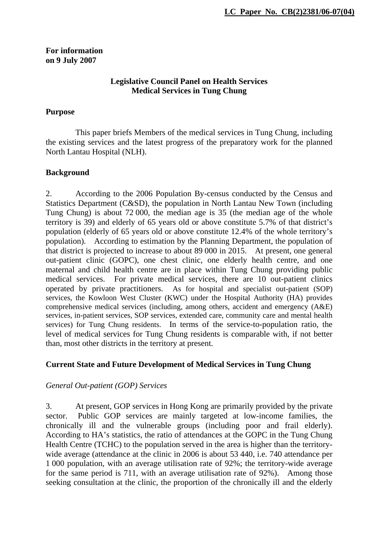### **For information on 9 July 2007**

### **Legislative Council Panel on Health Services Medical Services in Tung Chung**

#### **Purpose**

This paper briefs Members of the medical services in Tung Chung, including the existing services and the latest progress of the preparatory work for the planned North Lantau Hospital (NLH).

### **Background**

2. According to the 2006 Population By-census conducted by the Census and Statistics Department (C&SD), the population in North Lantau New Town (including Tung Chung) is about 72 000, the median age is 35 (the median age of the whole territory is 39) and elderly of 65 years old or above constitute 5.7% of that district's population (elderly of 65 years old or above constitute 12.4% of the whole territory's population). According to estimation by the Planning Department, the population of that district is projected to increase to about 89 000 in 2015. At present, one general out-patient clinic (GOPC), one chest clinic, one elderly health centre, and one maternal and child health centre are in place within Tung Chung providing public medical services. For private medical services, there are 10 out-patient clinics operated by private practitioners. As for hospital and specialist out-patient (SOP) services, the Kowloon West Cluster (KWC) under the Hospital Authority (HA) provides comprehensive medical services (including, among others, accident and emergency (A&E) services, in-patient services, SOP services, extended care, community care and mental health services) for Tung Chung residents. In terms of the service-to-population ratio, the level of medical services for Tung Chung residents is comparable with, if not better than, most other districts in the territory at present.

# **Current State and Future Development of Medical Services in Tung Chung**

### *General Out-patient (GOP) Services*

3. At present, GOP services in Hong Kong are primarily provided by the private sector. Public GOP services are mainly targeted at low-income families, the chronically ill and the vulnerable groups (including poor and frail elderly). According to HA's statistics, the ratio of attendances at the GOPC in the Tung Chung Health Centre (TCHC) to the population served in the area is higher than the territorywide average (attendance at the clinic in 2006 is about 53 440, i.e. 740 attendance per 1 000 population, with an average utilisation rate of 92%; the territory-wide average for the same period is 711, with an average utilisation rate of 92%). Among those seeking consultation at the clinic, the proportion of the chronically ill and the elderly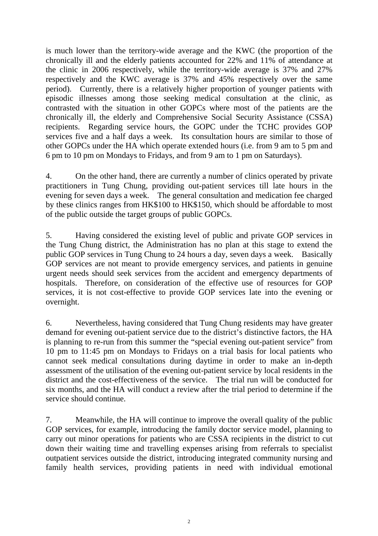is much lower than the territory-wide average and the KWC (the proportion of the chronically ill and the elderly patients accounted for 22% and 11% of attendance at the clinic in 2006 respectively, while the territory-wide average is 37% and 27% respectively and the KWC average is 37% and 45% respectively over the same period). Currently, there is a relatively higher proportion of younger patients with episodic illnesses among those seeking medical consultation at the clinic, as contrasted with the situation in other GOPCs where most of the patients are the chronically ill, the elderly and Comprehensive Social Security Assistance (CSSA) recipients. Regarding service hours, the GOPC under the TCHC provides GOP services five and a half days a week. Its consultation hours are similar to those of other GOPCs under the HA which operate extended hours (i.e. from 9 am to 5 pm and 6 pm to 10 pm on Mondays to Fridays, and from 9 am to 1 pm on Saturdays).

4. On the other hand, there are currently a number of clinics operated by private practitioners in Tung Chung, providing out-patient services till late hours in the evening for seven days a week. The general consultation and medication fee charged by these clinics ranges from HK\$100 to HK\$150, which should be affordable to most of the public outside the target groups of public GOPCs.

5. Having considered the existing level of public and private GOP services in the Tung Chung district, the Administration has no plan at this stage to extend the public GOP services in Tung Chung to 24 hours a day, seven days a week. Basically GOP services are not meant to provide emergency services, and patients in genuine urgent needs should seek services from the accident and emergency departments of hospitals. Therefore, on consideration of the effective use of resources for GOP services, it is not cost-effective to provide GOP services late into the evening or overnight.

6. Nevertheless, having considered that Tung Chung residents may have greater demand for evening out-patient service due to the district's distinctive factors, the HA is planning to re-run from this summer the "special evening out-patient service" from 10 pm to 11:45 pm on Mondays to Fridays on a trial basis for local patients who cannot seek medical consultations during daytime in order to make an in-depth assessment of the utilisation of the evening out-patient service by local residents in the district and the cost-effectiveness of the service. The trial run will be conducted for six months, and the HA will conduct a review after the trial period to determine if the service should continue.

7. Meanwhile, the HA will continue to improve the overall quality of the public GOP services, for example, introducing the family doctor service model, planning to carry out minor operations for patients who are CSSA recipients in the district to cut down their waiting time and travelling expenses arising from referrals to specialist outpatient services outside the district, introducing integrated community nursing and family health services, providing patients in need with individual emotional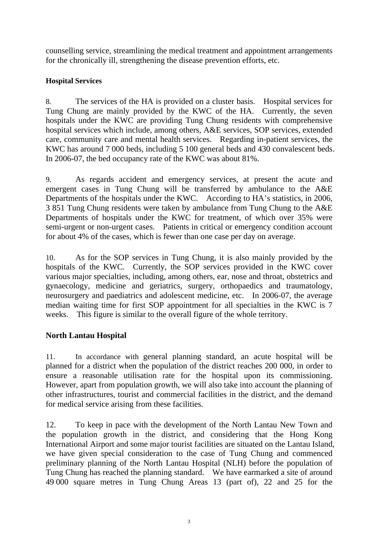counselling service, streamlining the medical treatment and appointment arrangements for the chronically ill, strengthening the disease prevention efforts, etc.

### **Hospital Services**

8. The services of the HA is provided on a cluster basis. Hospital services for Tung Chung are mainly provided by the KWC of the HA. Currently, the seven hospitals under the KWC are providing Tung Chung residents with comprehensive hospital services which include, among others, A&E services, SOP services, extended care, community care and mental health services. Regarding in-patient services, the KWC has around 7 000 beds, including 5 100 general beds and 430 convalescent beds. In 2006-07, the bed occupancy rate of the KWC was about 81%.

9. As regards accident and emergency services, at present the acute and emergent cases in Tung Chung will be transferred by ambulance to the A&E Departments of the hospitals under the KWC. According to HA's statistics, in 2006, 3 851 Tung Chung residents were taken by ambulance from Tung Chung to the A&E Departments of hospitals under the KWC for treatment, of which over 35% were semi-urgent or non-urgent cases. Patients in critical or emergency condition account for about 4% of the cases, which is fewer than one case per day on average.

10. As for the SOP services in Tung Chung, it is also mainly provided by the hospitals of the KWC. Currently, the SOP services provided in the KWC cover various major specialties, including, among others, ear, nose and throat, obstetrics and gynaecology, medicine and geriatrics, surgery, orthopaedics and traumatology, neurosurgery and paediatrics and adolescent medicine, etc. In 2006-07, the average median waiting time for first SOP appointment for all specialties in the KWC is 7 weeks. This figure is similar to the overall figure of the whole territory.

# **North Lantau Hospital**

11. In accordance with general planning standard, an acute hospital will be planned for a district when the population of the district reaches 200 000, in order to ensure a reasonable utilisation rate for the hospital upon its commissioning. However, apart from population growth, we will also take into account the planning of other infrastructures, tourist and commercial facilities in the district, and the demand for medical service arising from these facilities.

12. To keep in pace with the development of the North Lantau New Town and the population growth in the district, and considering that the Hong Kong International Airport and some major tourist facilities are situated on the Lantau Island, we have given special consideration to the case of Tung Chung and commenced preliminary planning of the North Lantau Hospital (NLH) before the population of Tung Chung has reached the planning standard. We have earmarked a site of around 49 000 square metres in Tung Chung Areas 13 (part of), 22 and 25 for the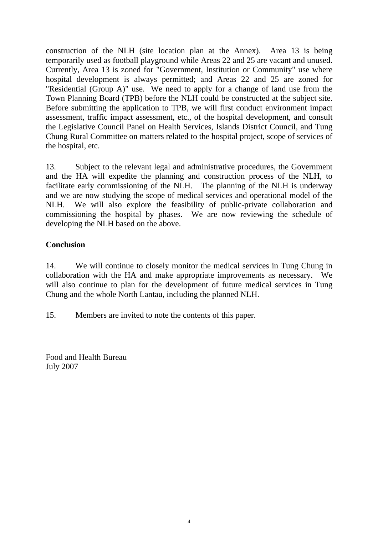construction of the NLH (site location plan at the Annex). Area 13 is being temporarily used as football playground while Areas 22 and 25 are vacant and unused. Currently, Area 13 is zoned for "Government, Institution or Community" use where hospital development is always permitted; and Areas 22 and 25 are zoned for "Residential (Group A)" use. We need to apply for a change of land use from the Town Planning Board (TPB) before the NLH could be constructed at the subject site. Before submitting the application to TPB, we will first conduct environment impact assessment, traffic impact assessment, etc., of the hospital development, and consult the Legislative Council Panel on Health Services, Islands District Council, and Tung Chung Rural Committee on matters related to the hospital project, scope of services of the hospital, etc.

13. Subject to the relevant legal and administrative procedures, the Government and the HA will expedite the planning and construction process of the NLH, to facilitate early commissioning of the NLH. The planning of the NLH is underway and we are now studying the scope of medical services and operational model of the NLH. We will also explore the feasibility of public-private collaboration and commissioning the hospital by phases. We are now reviewing the schedule of developing the NLH based on the above.

## **Conclusion**

14. We will continue to closely monitor the medical services in Tung Chung in collaboration with the HA and make appropriate improvements as necessary. We will also continue to plan for the development of future medical services in Tung Chung and the whole North Lantau, including the planned NLH.

15. Members are invited to note the contents of this paper.

Food and Health Bureau July 2007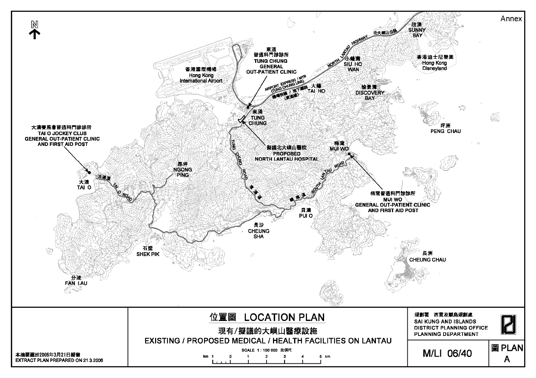